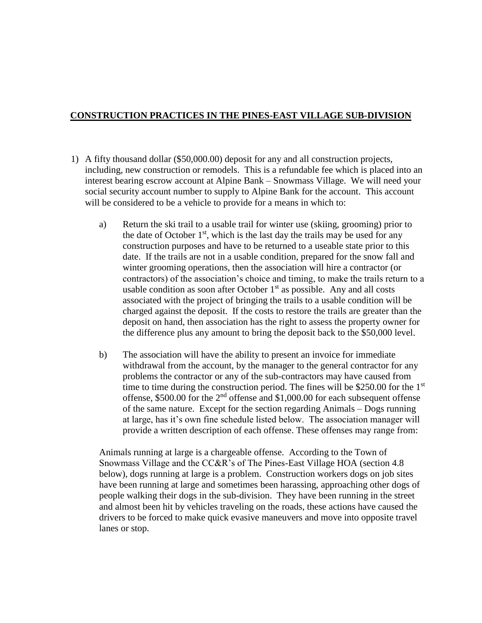## **CONSTRUCTION PRACTICES IN THE PINES-EAST VILLAGE SUB-DIVISION**

- 1) A fifty thousand dollar (\$50,000.00) deposit for any and all construction projects, including, new construction or remodels. This is a refundable fee which is placed into an interest bearing escrow account at Alpine Bank – Snowmass Village. We will need your social security account number to supply to Alpine Bank for the account. This account will be considered to be a vehicle to provide for a means in which to:
	- a) Return the ski trail to a usable trail for winter use (skiing, grooming) prior to the date of October  $1<sup>st</sup>$ , which is the last day the trails may be used for any construction purposes and have to be returned to a useable state prior to this date. If the trails are not in a usable condition, prepared for the snow fall and winter grooming operations, then the association will hire a contractor (or contractors) of the association's choice and timing, to make the trails return to a usable condition as soon after October  $1<sup>st</sup>$  as possible. Any and all costs associated with the project of bringing the trails to a usable condition will be charged against the deposit. If the costs to restore the trails are greater than the deposit on hand, then association has the right to assess the property owner for the difference plus any amount to bring the deposit back to the \$50,000 level.
	- b) The association will have the ability to present an invoice for immediate withdrawal from the account, by the manager to the general contractor for any problems the contractor or any of the sub-contractors may have caused from time to time during the construction period. The fines will be  $$250.00$  for the 1<sup>st</sup> offense,  $$500.00$  for the  $2<sup>nd</sup>$  offense and \$1,000.00 for each subsequent offense of the same nature. Except for the section regarding Animals – Dogs running at large, has it's own fine schedule listed below. The association manager will provide a written description of each offense. These offenses may range from:

Animals running at large is a chargeable offense. According to the Town of Snowmass Village and the CC&R's of The Pines-East Village HOA (section 4.8 below), dogs running at large is a problem. Construction workers dogs on job sites have been running at large and sometimes been harassing, approaching other dogs of people walking their dogs in the sub-division. They have been running in the street and almost been hit by vehicles traveling on the roads, these actions have caused the drivers to be forced to make quick evasive maneuvers and move into opposite travel lanes or stop.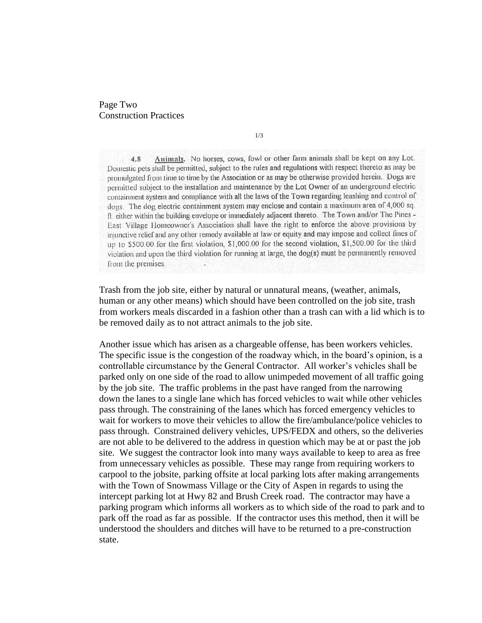## Page Two Construction Practices

1/3

Animals. No horses, cows, fowl or other farm animals shall be kept on any Lot. 4.8 Domestic pets shall be permitted, subject to the rules and regulations with respect thereto as may be promulgated from time to time by the Association or as may be otherwise provided herein. Dogs are permitted subject to the installation and maintenance by the Lot Owner of an underground electric containment system and compliance with all the laws of the Town regarding leashing and control of dogs. The dog electric containment system may enclose and contain a maximum area of 4,000 sq. ft. either within the building envelope or immediately adjacent thereto. The Town and/or The Pines -East Village Homeowner's Association shall have the right to enforce the above provisions by injunctive relief and any other remedy available at law or equity and may impose and collect fines of up to \$500.00 for the first violation, \$1,000.00 for the second violation, \$1,500.00 for the third violation and upon the third violation for running at large, the dog(s) must be permanently removed from the premises.

Trash from the job site, either by natural or unnatural means, (weather, animals, human or any other means) which should have been controlled on the job site, trash from workers meals discarded in a fashion other than a trash can with a lid which is to be removed daily as to not attract animals to the job site.

Another issue which has arisen as a chargeable offense, has been workers vehicles. The specific issue is the congestion of the roadway which, in the board's opinion, is a controllable circumstance by the General Contractor. All worker's vehicles shall be parked only on one side of the road to allow unimpeded movement of all traffic going by the job site. The traffic problems in the past have ranged from the narrowing down the lanes to a single lane which has forced vehicles to wait while other vehicles pass through. The constraining of the lanes which has forced emergency vehicles to wait for workers to move their vehicles to allow the fire/ambulance/police vehicles to pass through. Constrained delivery vehicles, UPS/FEDX and others, so the deliveries are not able to be delivered to the address in question which may be at or past the job site. We suggest the contractor look into many ways available to keep to area as free from unnecessary vehicles as possible. These may range from requiring workers to carpool to the jobsite, parking offsite at local parking lots after making arrangements with the Town of Snowmass Village or the City of Aspen in regards to using the intercept parking lot at Hwy 82 and Brush Creek road. The contractor may have a parking program which informs all workers as to which side of the road to park and to park off the road as far as possible. If the contractor uses this method, then it will be understood the shoulders and ditches will have to be returned to a pre-construction state.